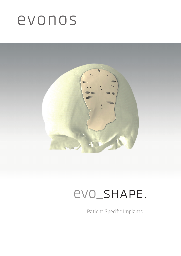# evonos



### evo\_shape.

Patient Specific Implants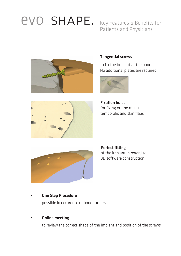# evo\_shape. Key Features & Benefits for

Patients and Physicians



#### Tangential screws

to fix the implant at the bone. No additional plates are required



Fixation holes for fixing on the musculus temporalis and skin flaps





Perfect fitting of the implant in regard to 3D software construction

#### • One Step Procedure

possible in occurence of bone tumors

#### **Online meeting**

to review the correct shape of the implant and position of the screws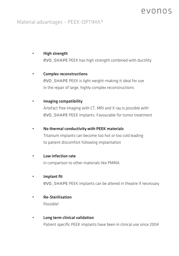### PVONOS

### Material advantages – PEEK-OPTIMA®

#### • High strength evo\_shape PEEK has high strength combined with ductility

#### • Complex reconstructions

evo\_shape PEEK is light weight-making it ideal for use in the repair of large, highly complex reconstructions

#### • Imaging compatibility

Artefact free imaging with CT, MRI and X ray is possible with evo\_shape PEEK implants. Favourable for tumor treatment

#### • No thermal conductivity with PEEK materials

Titanium implants can become too hot or too cold leading to patient discomfort following implantation

#### • Low infection rate

in comparison to other materials like PMMA

#### • Implant fit

evo\_shape PEEK implants can be altered in theatre if necessary

- Re-Sterilisation Possible!
- Long term clinical validation Patient specific PEEK implants have been in clinical use since 2004